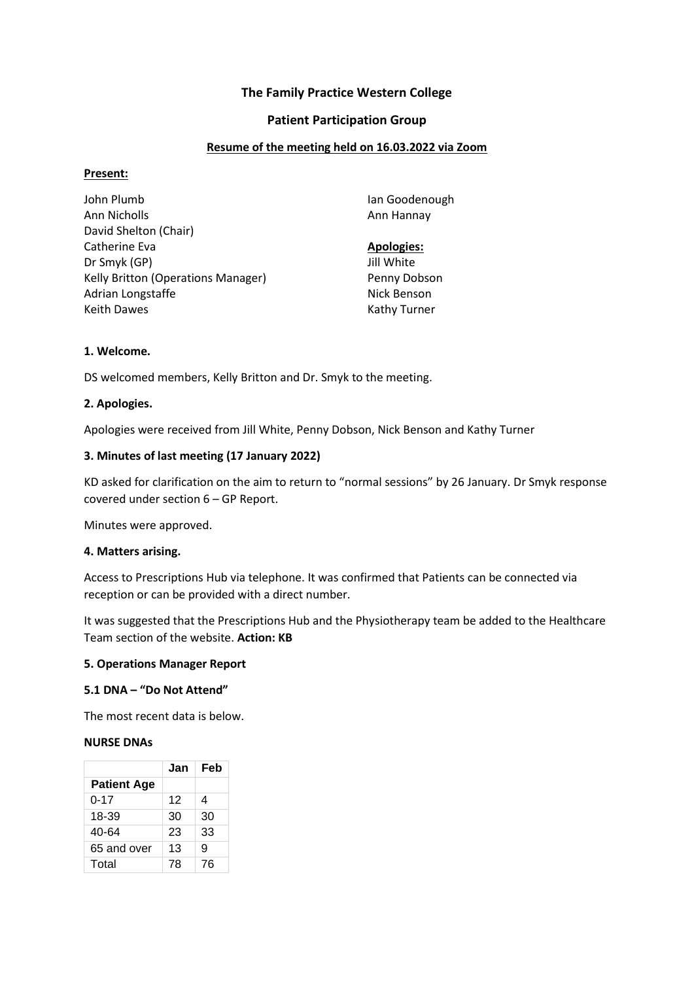# **The Family Practice Western College**

## **Patient Participation Group**

## **Resume of the meeting held on 16.03.2022 via Zoom**

### **Present:**

| John Plumb                         | Ian Goodenough    |
|------------------------------------|-------------------|
| Ann Nicholls                       | Ann Hannay        |
| David Shelton (Chair)              |                   |
| Catherine Eva                      | <b>Apologies:</b> |
| Dr Smyk (GP)                       | Jill White        |
| Kelly Britton (Operations Manager) | Penny Dobson      |
| Adrian Longstaffe                  | Nick Benson       |
| <b>Keith Dawes</b>                 | Kathy Turner      |

# **1. Welcome.**

DS welcomed members, Kelly Britton and Dr. Smyk to the meeting.

## **2. Apologies.**

Apologies were received from Jill White, Penny Dobson, Nick Benson and Kathy Turner

## **3. Minutes of last meeting (17 January 2022)**

KD asked for clarification on the aim to return to "normal sessions" by 26 January. Dr Smyk response covered under section 6 – GP Report.

Minutes were approved.

### **4. Matters arising.**

Access to Prescriptions Hub via telephone. It was confirmed that Patients can be connected via reception or can be provided with a direct number.

It was suggested that the Prescriptions Hub and the Physiotherapy team be added to the Healthcare Team section of the website. **Action: KB**

### **5. Operations Manager Report**

### **5.1 DNA – "Do Not Attend"**

The most recent data is below.

### **NURSE DNAs**

|                    | Jan | Feb |
|--------------------|-----|-----|
| <b>Patient Age</b> |     |     |
| $0 - 17$           | 12  | 4   |
| 18-39              | 30  | 30  |
| 40-64              | 23  | 33  |
| 65 and over        | 13  | 9   |
| Total              | 78  | 76  |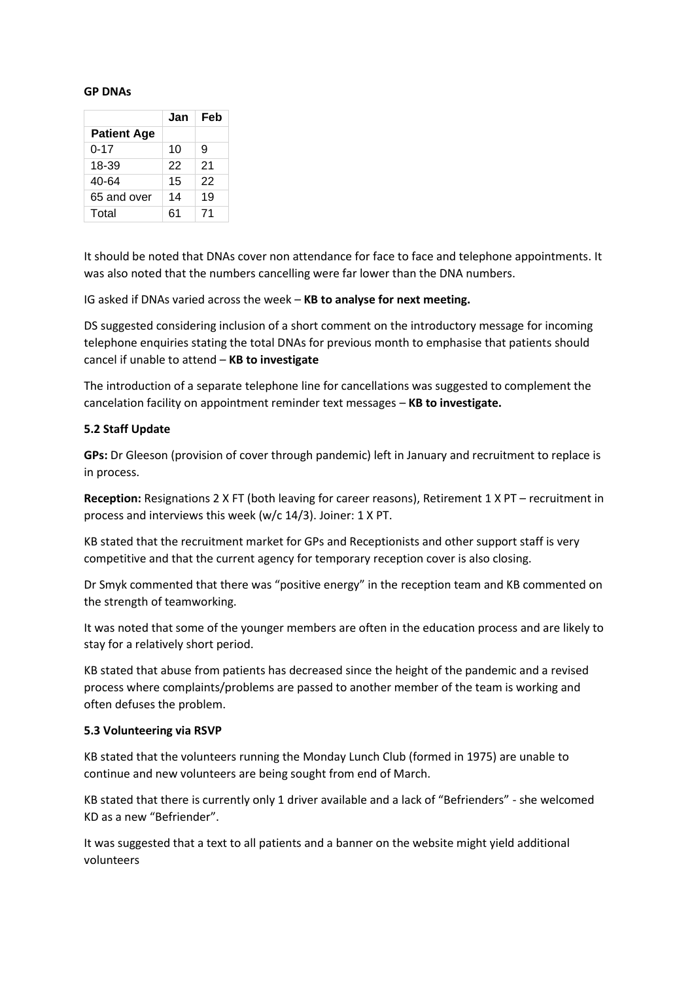#### **GP DNAs**

|                    | Jan | Feb |
|--------------------|-----|-----|
| <b>Patient Age</b> |     |     |
| $0 - 17$           | 10  | 9   |
| 18-39              | 22  | 21  |
| 40-64              | 15  | 22  |
| 65 and over        | 14  | 19  |
| Total              | 61  | 71  |

It should be noted that DNAs cover non attendance for face to face and telephone appointments. It was also noted that the numbers cancelling were far lower than the DNA numbers.

IG asked if DNAs varied across the week – **KB to analyse for next meeting.**

DS suggested considering inclusion of a short comment on the introductory message for incoming telephone enquiries stating the total DNAs for previous month to emphasise that patients should cancel if unable to attend – **KB to investigate**

The introduction of a separate telephone line for cancellations was suggested to complement the cancelation facility on appointment reminder text messages – **KB to investigate.**

### **5.2 Staff Update**

**GPs:** Dr Gleeson (provision of cover through pandemic) left in January and recruitment to replace is in process.

**Reception:** Resignations 2 X FT (both leaving for career reasons), Retirement 1 X PT – recruitment in process and interviews this week (w/c 14/3). Joiner: 1 X PT.

KB stated that the recruitment market for GPs and Receptionists and other support staff is very competitive and that the current agency for temporary reception cover is also closing.

Dr Smyk commented that there was "positive energy" in the reception team and KB commented on the strength of teamworking.

It was noted that some of the younger members are often in the education process and are likely to stay for a relatively short period.

KB stated that abuse from patients has decreased since the height of the pandemic and a revised process where complaints/problems are passed to another member of the team is working and often defuses the problem.

#### **5.3 Volunteering via RSVP**

KB stated that the volunteers running the Monday Lunch Club (formed in 1975) are unable to continue and new volunteers are being sought from end of March.

KB stated that there is currently only 1 driver available and a lack of "Befrienders" - she welcomed KD as a new "Befriender".

It was suggested that a text to all patients and a banner on the website might yield additional volunteers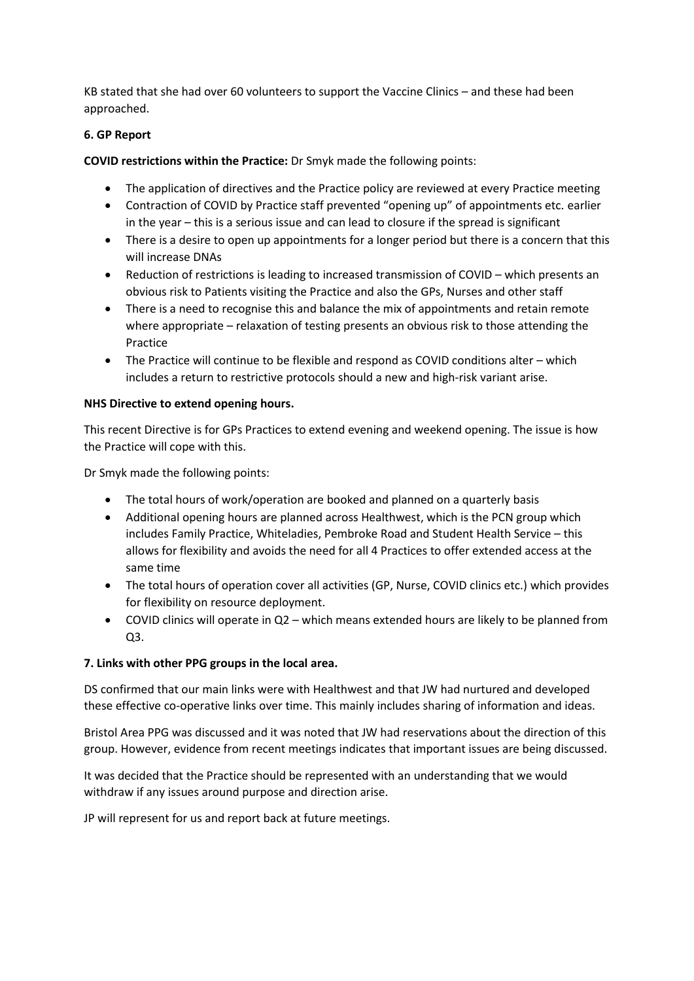KB stated that she had over 60 volunteers to support the Vaccine Clinics – and these had been approached.

# **6. GP Report**

**COVID restrictions within the Practice:** Dr Smyk made the following points:

- The application of directives and the Practice policy are reviewed at every Practice meeting
- Contraction of COVID by Practice staff prevented "opening up" of appointments etc. earlier in the year – this is a serious issue and can lead to closure if the spread is significant
- There is a desire to open up appointments for a longer period but there is a concern that this will increase DNAs
- Reduction of restrictions is leading to increased transmission of COVID which presents an obvious risk to Patients visiting the Practice and also the GPs, Nurses and other staff
- There is a need to recognise this and balance the mix of appointments and retain remote where appropriate – relaxation of testing presents an obvious risk to those attending the Practice
- The Practice will continue to be flexible and respond as COVID conditions alter which includes a return to restrictive protocols should a new and high-risk variant arise.

### **NHS Directive to extend opening hours.**

This recent Directive is for GPs Practices to extend evening and weekend opening. The issue is how the Practice will cope with this.

Dr Smyk made the following points:

- The total hours of work/operation are booked and planned on a quarterly basis
- Additional opening hours are planned across Healthwest, which is the PCN group which includes Family Practice, Whiteladies, Pembroke Road and Student Health Service – this allows for flexibility and avoids the need for all 4 Practices to offer extended access at the same time
- The total hours of operation cover all activities (GP, Nurse, COVID clinics etc.) which provides for flexibility on resource deployment.
- COVID clinics will operate in Q2 which means extended hours are likely to be planned from Q3.

# **7. Links with other PPG groups in the local area.**

DS confirmed that our main links were with Healthwest and that JW had nurtured and developed these effective co-operative links over time. This mainly includes sharing of information and ideas.

Bristol Area PPG was discussed and it was noted that JW had reservations about the direction of this group. However, evidence from recent meetings indicates that important issues are being discussed.

It was decided that the Practice should be represented with an understanding that we would withdraw if any issues around purpose and direction arise.

JP will represent for us and report back at future meetings.